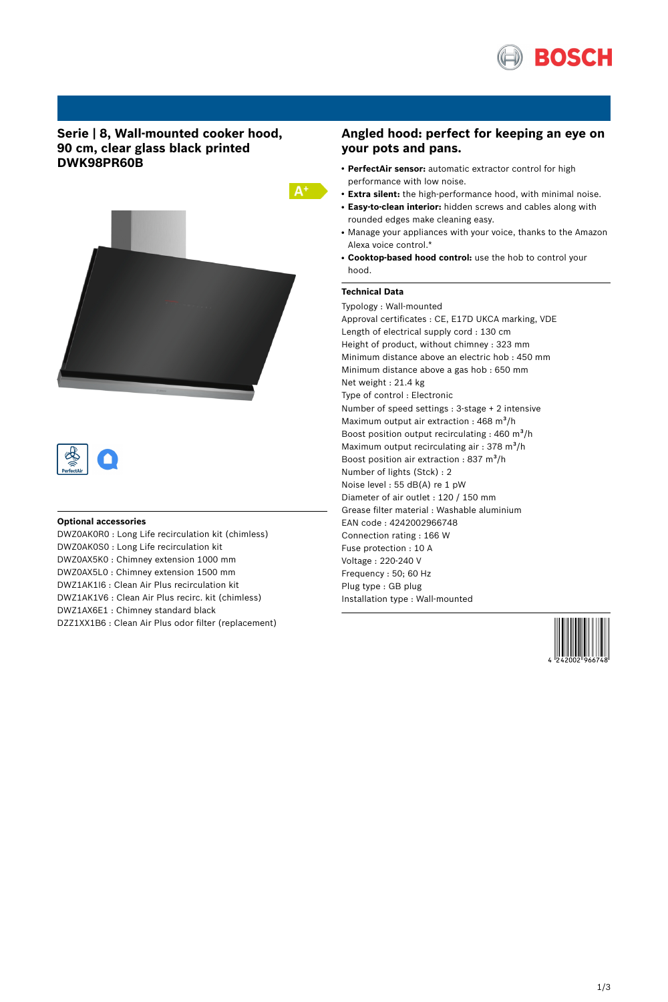

# **Serie | 8, Wall-mounted cooker hood, 90 cm, clear glass black printed DWK98PR60B**





## **Optional accessories**

DWZ0AK0R0 : Long Life recirculation kit (chimless) DWZ0AK0S0 : Long Life recirculation kit DWZ0AX5K0 : Chimney extension 1000 mm DWZ0AX5L0 : Chimney extension 1500 mm DWZ1AK1I6 : Clean Air Plus recirculation kit DWZ1AK1V6 : Clean Air Plus recirc. kit (chimless) DWZ1AX6E1 : Chimney standard black DZZ1XX1B6 : Clean Air Plus odor filter (replacement)

## **Angled hood: perfect for keeping an eye on your pots and pans.**

- **PerfectAir sensor:** automatic extractor control for high performance with low noise.
- **Extra silent:** the high-performance hood, with minimal noise.
- **Easy-to-clean interior:** hidden screws and cables along with rounded edges make cleaning easy.
- Manage your appliances with your voice, thanks to the Amazon Alexa voice control.\*
- **Cooktop-based hood control:** use the hob to control your hood.

## **Technical Data**

Typology : Wall-mounted Approval certificates : CE, E17D UKCA marking, VDE Length of electrical supply cord : 130 cm Height of product, without chimney : 323 mm Minimum distance above an electric hob : 450 mm Minimum distance above a gas hob : 650 mm Net weight : 21.4 kg Type of control : Electronic Number of speed settings : 3-stage + 2 intensive Maximum output air extraction : 468 m<sup>3</sup>/h Boost position output recirculating : 460 m<sup>3</sup>/h Maximum output recirculating air : 378 m<sup>3</sup>/h Boost position air extraction : 837 m<sup>3</sup>/h Number of lights (Stck) : 2 Noise level : 55 dB(A) re 1 pW Diameter of air outlet : 120 / 150 mm Grease filter material : Washable aluminium EAN code : 4242002966748 Connection rating : 166 W Fuse protection : 10 A Voltage : 220-240 V Frequency : 50; 60 Hz Plug type : GB plug Installation type : Wall-mounted

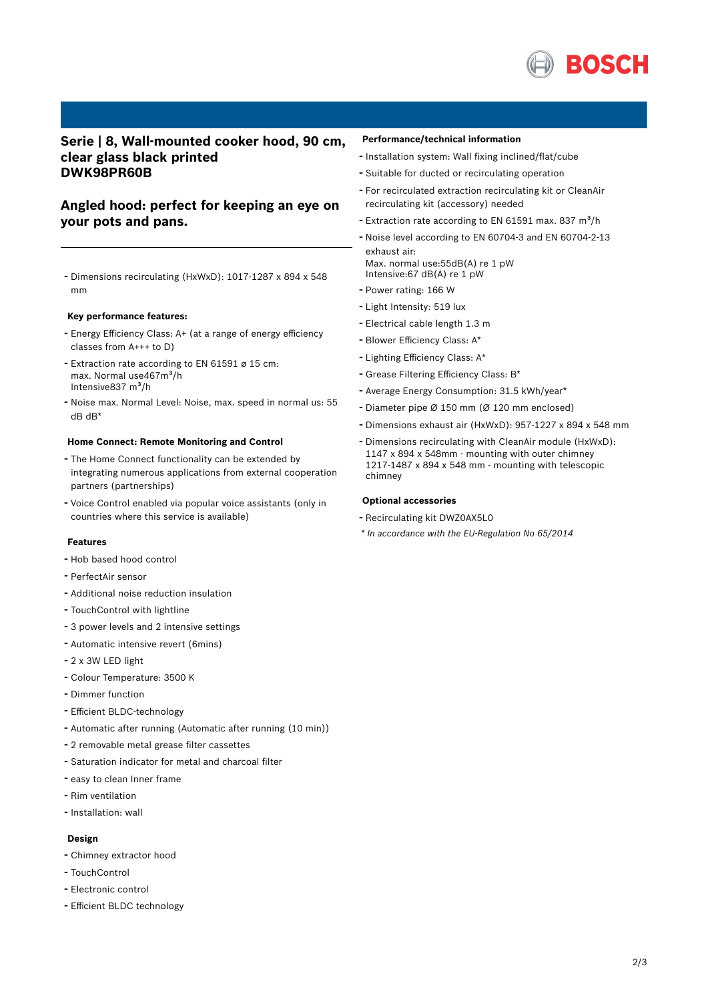

## **Serie | 8, Wall-mounted cooker hood, 90 cm, clear glass black printed DWK98PR60B**

# **Angled hood: perfect for keeping an eye on your pots and pans.**

- Dimensions recirculating (HxWxD): 1017-1287 <sup>x</sup> <sup>894</sup> <sup>x</sup> <sup>548</sup> mm

#### **Key performance features:**

- Energy Efficiency Class: A+ (at <sup>a</sup> range of energy efficiency classes from A+++ to D)
- Extraction rate according to EN <sup>61591</sup> <sup>ø</sup> <sup>15</sup> cm: max. Normal use467m<sup>3</sup>/h Intensive837 m<sup>3</sup>/h
- Noise max. Normal Level: Noise, max. speed in normal us: <sup>55</sup> dB dB\*

#### **Home Connect: Remote Monitoring and Control**

- The Home Connect functionality can be extended by integrating numerous applications from external cooperation partners (partnerships)
- Voice Control enabled via popular voice assistants (only in countries where this service is available)

#### **Features**

- Hob based hood control
- PerfectAir sensor
- Additional noise reduction insulation
- TouchControl with lightline
- <sup>3</sup> power levels and <sup>2</sup> intensive settings
- Automatic intensive revert (6mins)
- 2 x 3W LED light
- Colour Temperature: <sup>3500</sup> <sup>K</sup>
- Dimmer function
- Efficient BLDC-technology
- Automatic after running (Automatic after running (10 min))
- <sup>2</sup> removable metal grease filter cassettes
- Saturation indicator for metal and charcoal filter
- easy to clean Inner frame
- Rim ventilation
- Installation: wall

## **Design**

- Chimney extractor hood
- TouchControl
- Electronic control
- Efficient BLDC technology

#### **Performance/technical information**

- Installation system: Wall fixing inclined/flat/cube
- Suitable for ducted or recirculating operation
- For recirculated extraction recirculating kit or CleanAir recirculating kit (accessory) needed
- Extraction rate according to EN 61591 max. 837  $m^3/h$
- Noise level according to EN 60704-3 and EN 60704-2-13 exhaust air:
- Max. normal use:55dB(A) re 1 pW Intensive:67 dB(A) re 1 pW
- Power rating: <sup>166</sup> <sup>W</sup>
- Light Intensity: <sup>519</sup> lux
- Electrical cable length 1.3 <sup>m</sup>
- Blower Efficiency Class: A\*
- Lighting Efficiency Class: A\*
- Grease Filtering Efficiency Class: B\*
- Average Energy Consumption: 31.5 kWh/year\*
- Diameter pipe <sup>Ø</sup> <sup>150</sup> mm (Ø <sup>120</sup> mm enclosed)
- Dimensions exhaust air (HxWxD): 957-1227 <sup>x</sup> <sup>894</sup> <sup>x</sup> <sup>548</sup> mm
- Dimensions recirculating with CleanAir module (HxWxD): 1147 x 894 x 548mm - mounting with outer chimney 1217-1487 x 894 x 548 mm - mounting with telescopic chimney

### **Optional accessories**

- Recirculating kit DWZ0AX5L0
- *\* In accordance with the EU-Regulation No 65/2014*